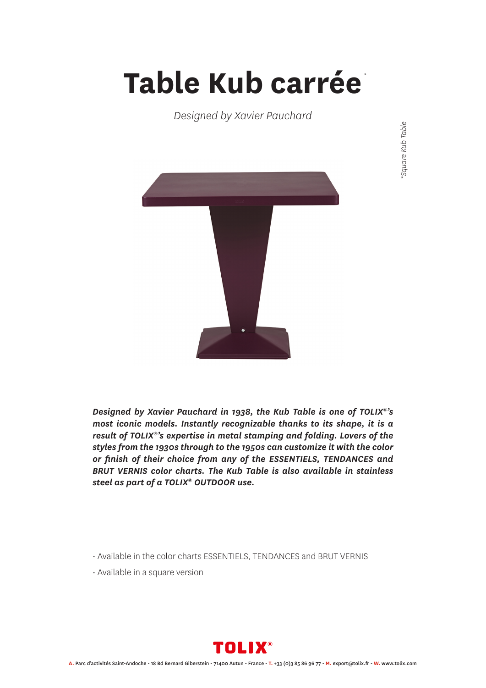## **Table Kub carrée** *\**

*Designed by Xavier Pauchard*



*Designed by Xavier Pauchard in 1938, the Kub Table is one of TOLIX®'s most iconic models. Instantly recognizable thanks to its shape, it is a result of TOLIX®'s expertise in metal stamping and folding. Lovers of the styles from the 1930s through to the 1950s can customize it with the color or finish of their choice from any of the ESSENTIELS, TENDANCES and BRUT VERNIS color charts. The Kub Table is also available in stainless steel as part of a TOLIX® OUTDOOR use.*

- Available in the color charts ESSENTIELS, TENDANCES and BRUT VERNIS
- Available in a square version